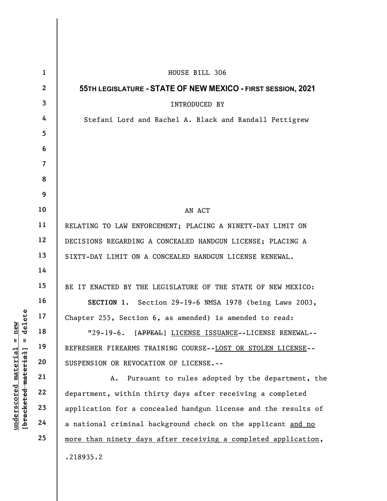|                                                                                                                | $\mathbf{1}$    | HOUSE BILL 306                                                 |
|----------------------------------------------------------------------------------------------------------------|-----------------|----------------------------------------------------------------|
|                                                                                                                | $\mathbf{2}$    | 55TH LEGISLATURE - STATE OF NEW MEXICO - FIRST SESSION, 2021   |
| delete<br>new<br>$\mathsf{I}$<br>$\mathbf{I}$<br><u>material</u><br>[bracketed material]<br><u>underscored</u> | $\mathbf{3}$    | <b>INTRODUCED BY</b>                                           |
|                                                                                                                | 4               | Stefani Lord and Rachel A. Black and Randall Pettigrew         |
|                                                                                                                | $5\overline{)}$ |                                                                |
|                                                                                                                | 6               |                                                                |
|                                                                                                                | $\overline{7}$  |                                                                |
|                                                                                                                | 8               |                                                                |
|                                                                                                                | 9               |                                                                |
|                                                                                                                | 10              | AN ACT                                                         |
|                                                                                                                | 11              | RELATING TO LAW ENFORCEMENT; PLACING A NINETY-DAY LIMIT ON     |
|                                                                                                                | 12              | DECISIONS REGARDING A CONCEALED HANDGUN LICENSE; PLACING A     |
|                                                                                                                | 13              | SIXTY-DAY LIMIT ON A CONCEALED HANDGUN LICENSE RENEWAL.        |
|                                                                                                                | 14              |                                                                |
|                                                                                                                | 15              | BE IT ENACTED BY THE LEGISLATURE OF THE STATE OF NEW MEXICO:   |
|                                                                                                                | 16              | SECTION 1. Section 29-19-6 NMSA 1978 (being Laws 2003,         |
|                                                                                                                | 17              | Chapter 255, Section 6, as amended) is amended to read:        |
|                                                                                                                | 18              | $"29-19-6.$<br>[APPEAL] LICENSE ISSUANCE--LICENSE RENEWAL--    |
|                                                                                                                | 19              | REFRESHER FIREARMS TRAINING COURSE--LOST OR STOLEN LICENSE--   |
|                                                                                                                | 20              | SUSPENSION OR REVOCATION OF LICENSE.--                         |
|                                                                                                                | 21              | Pursuant to rules adopted by the department, the<br>A.         |
|                                                                                                                | 22              | department, within thirty days after receiving a completed     |
|                                                                                                                | 23              | application for a concealed handgun license and the results of |
|                                                                                                                | 24              | a national criminal background check on the applicant and no   |
|                                                                                                                | 25              | more than ninety days after receiving a completed application, |
|                                                                                                                |                 | .218935.2                                                      |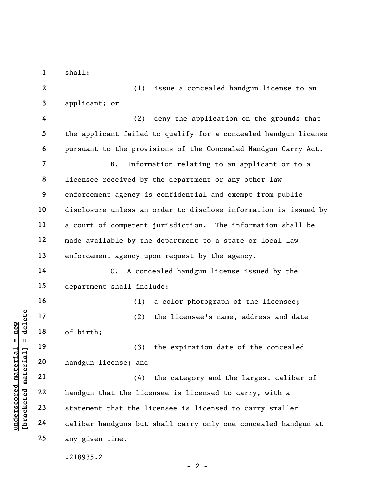shall:

1

2

3

14

15

16

17

18

19

20

21

22

23

24

25

(1) issue a concealed handgun license to an applicant; or

4 5 6 (2) deny the application on the grounds that the applicant failed to qualify for a concealed handgun license pursuant to the provisions of the Concealed Handgun Carry Act.

7 8 9 10 11 12 13 B. Information relating to an applicant or to a licensee received by the department or any other law enforcement agency is confidential and exempt from public disclosure unless an order to disclose information is issued by a court of competent jurisdiction. The information shall be made available by the department to a state or local law enforcement agency upon request by the agency.

C. A concealed handgun license issued by the department shall include:

(1) a color photograph of the licensee;

(2) the licensee's name, address and date of birth;

(3) the expiration date of the concealed handgun license; and

underscored material material of birth;<br>  $\begin{bmatrix}\n1 & 1 & 19 \\
0 & 1 & 19 \\
0 & 20 \\
0 & 21 \\
0 & 22 \\
0 & 23 \\
0 & 24\n\end{bmatrix}$  handgun license; and<br>  $\begin{bmatrix}\n2 & 2 & 4 \\
2 & 2 & 4 \\
2 & 2 & 5 \\
2 & 2 & 6\n\end{bmatrix}$  and  $\begin{bmatrix}\n2 & 2 & 4 \\
2 & 2 & 5 \\
2 & 2 & 6 \\
2 & 2 & 6\n\end{$ (4) the category and the largest caliber of handgun that the licensee is licensed to carry, with a statement that the licensee is licensed to carry smaller caliber handguns but shall carry only one concealed handgun at any given time.

.218935.2

 $- 2 -$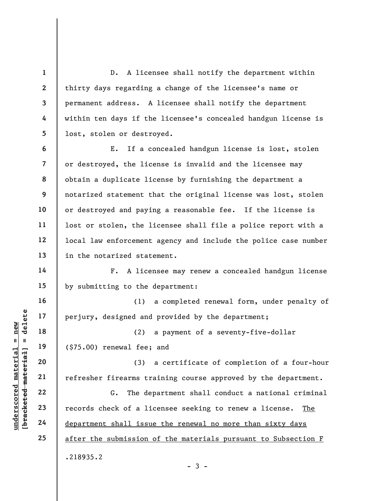1 2 3 4 5 D. A licensee shall notify the department within thirty days regarding a change of the licensee's name or permanent address. A licensee shall notify the department within ten days if the licensee's concealed handgun license is lost, stolen or destroyed.

6 7 8 9 10 11 12 13 E. If a concealed handgun license is lost, stolen or destroyed, the license is invalid and the licensee may obtain a duplicate license by furnishing the department a notarized statement that the original license was lost, stolen or destroyed and paying a reasonable fee. If the license is lost or stolen, the licensee shall file a police report with a local law enforcement agency and include the police case number in the notarized statement.

F. A licensee may renew a concealed handgun license by submitting to the department:

(1) a completed renewal form, under penalty of perjury, designed and provided by the department;

(2) a payment of a seventy-five-dollar (\$75.00) renewal fee; and

(3) a certificate of completion of a four-hour refresher firearms training course approved by the department.

understand material material and<br>  $\begin{bmatrix}\n1 & 1 & 1 & 1 \\
0 & 1 & 1 & 1 & 1 \\
0 & 0 & 0 & 0 & 0 \\
0 & 0 & 0 & 0 & 0 \\
0 & 0 & 0 & 0 & 0 \\
0 & 0 & 0 & 0 & 0 \\
0 & 0 & 0 & 0 & 0 \\
0 & 0 & 0 & 0 & 0 \\
0 & 0 & 0 & 0 & 0 \\
0 & 0 & 0 & 0 & 0 \\
0 & 0 & 0 & 0 & 0 \\
0 & 0 & 0 & 0 & 0 \\
0 & 0 & 0 & 0 & 0 \\
0$ G. The department shall conduct a national criminal records check of a licensee seeking to renew a license. The department shall issue the renewal no more than sixty days after the submission of the materials pursuant to Subsection F .218935.2

14

15

16

17

18

19

20

21

22

23

24

25

 $-3 -$